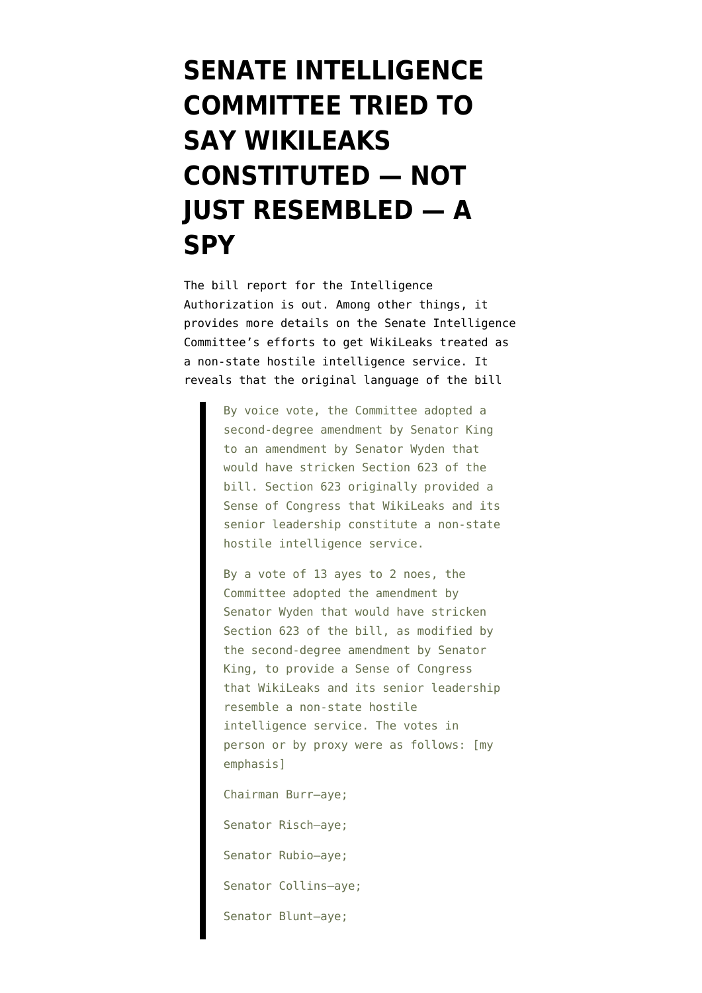## **[SENATE INTELLIGENCE](https://www.emptywheel.net/2017/09/11/senate-intelligence-committee-tried-to-say-wikileaks-was-not-just-resembled-a-spy/) [COMMITTEE TRIED TO](https://www.emptywheel.net/2017/09/11/senate-intelligence-committee-tried-to-say-wikileaks-was-not-just-resembled-a-spy/) [SAY WIKILEAKS](https://www.emptywheel.net/2017/09/11/senate-intelligence-committee-tried-to-say-wikileaks-was-not-just-resembled-a-spy/) [CONSTITUTED — NOT](https://www.emptywheel.net/2017/09/11/senate-intelligence-committee-tried-to-say-wikileaks-was-not-just-resembled-a-spy/) [JUST RESEMBLED — A](https://www.emptywheel.net/2017/09/11/senate-intelligence-committee-tried-to-say-wikileaks-was-not-just-resembled-a-spy/) [SPY](https://www.emptywheel.net/2017/09/11/senate-intelligence-committee-tried-to-say-wikileaks-was-not-just-resembled-a-spy/)**

The [bill report](https://fas.org/irp/congress/2017_rpt/ssci-fy2018.html) for the Intelligence Authorization is out. Among other things, it provides more details on the Senate Intelligence Committee's [efforts](https://www.emptywheel.net/2017/08/22/senate-intelligence-bill-aims-to-criminalize-wikileaks-maybe-anyone-who-looks-like-them/) to get WikiLeaks treated as a non-state hostile intelligence service. It reveals that the original language of the bill

> By voice vote, the Committee adopted a second-degree amendment by Senator King to an amendment by Senator Wyden that would have stricken Section 623 of the bill. Section 623 originally provided a Sense of Congress that WikiLeaks and its senior leadership constitute a non-state hostile intelligence service.

> By a vote of 13 ayes to 2 noes, the Committee adopted the amendment by Senator Wyden that would have stricken Section 623 of the bill, as modified by the second-degree amendment by Senator King, to provide a Sense of Congress that WikiLeaks and its senior leadership resemble a non-state hostile intelligence service. The votes in person or by proxy were as follows: [my emphasis]

Chairman Burr–aye;

Senator Risch–aye; Senator Rubio–aye; Senator Collins–aye; Senator Blunt–aye;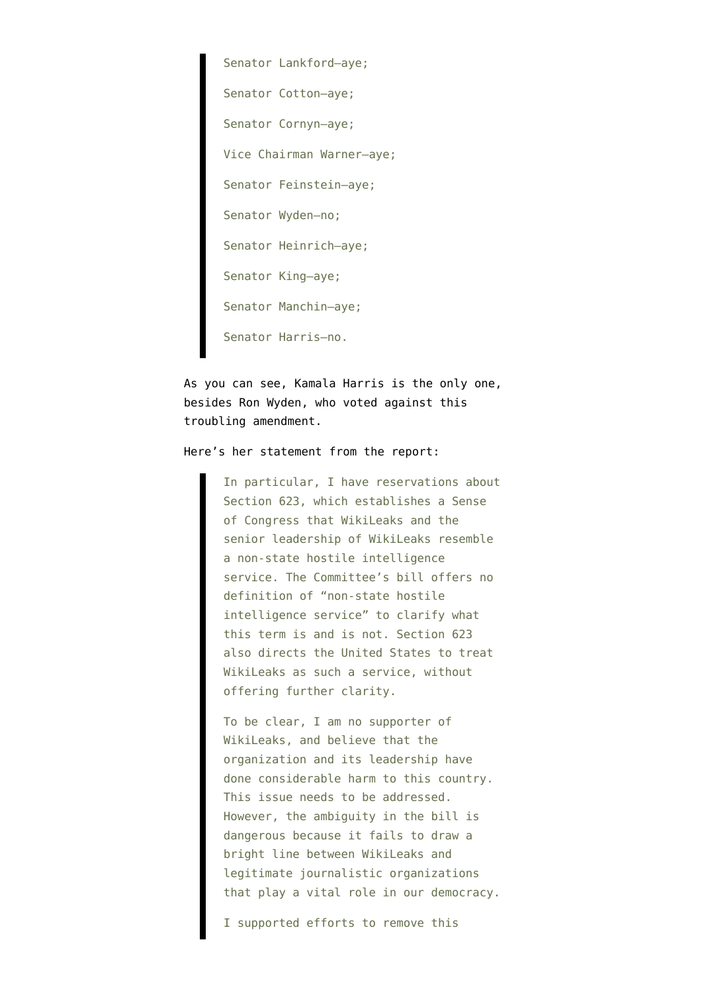Senator Lankford–aye; Senator Cotton–aye; Senator Cornyn–aye; Vice Chairman Warner–aye; Senator Feinstein–aye; Senator Wyden–no; Senator Heinrich–aye; Senator King–aye; Senator Manchin–aye; Senator Harris–no.

As you can see, Kamala Harris is the only one, besides Ron Wyden, who voted against this troubling amendment.

## Here's her statement from the report:

In particular, I have reservations about Section 623, which establishes a Sense of Congress that WikiLeaks and the senior leadership of WikiLeaks resemble a non-state hostile intelligence service. The Committee's bill offers no definition of "non-state hostile intelligence service" to clarify what this term is and is not. Section 623 also directs the United States to treat WikiLeaks as such a service, without offering further clarity.

To be clear, I am no supporter of WikiLeaks, and believe that the organization and its leadership have done considerable harm to this country. This issue needs to be addressed. However, the ambiguity in the bill is dangerous because it fails to draw a bright line between WikiLeaks and legitimate journalistic organizations that play a vital role in our democracy.

I supported efforts to remove this